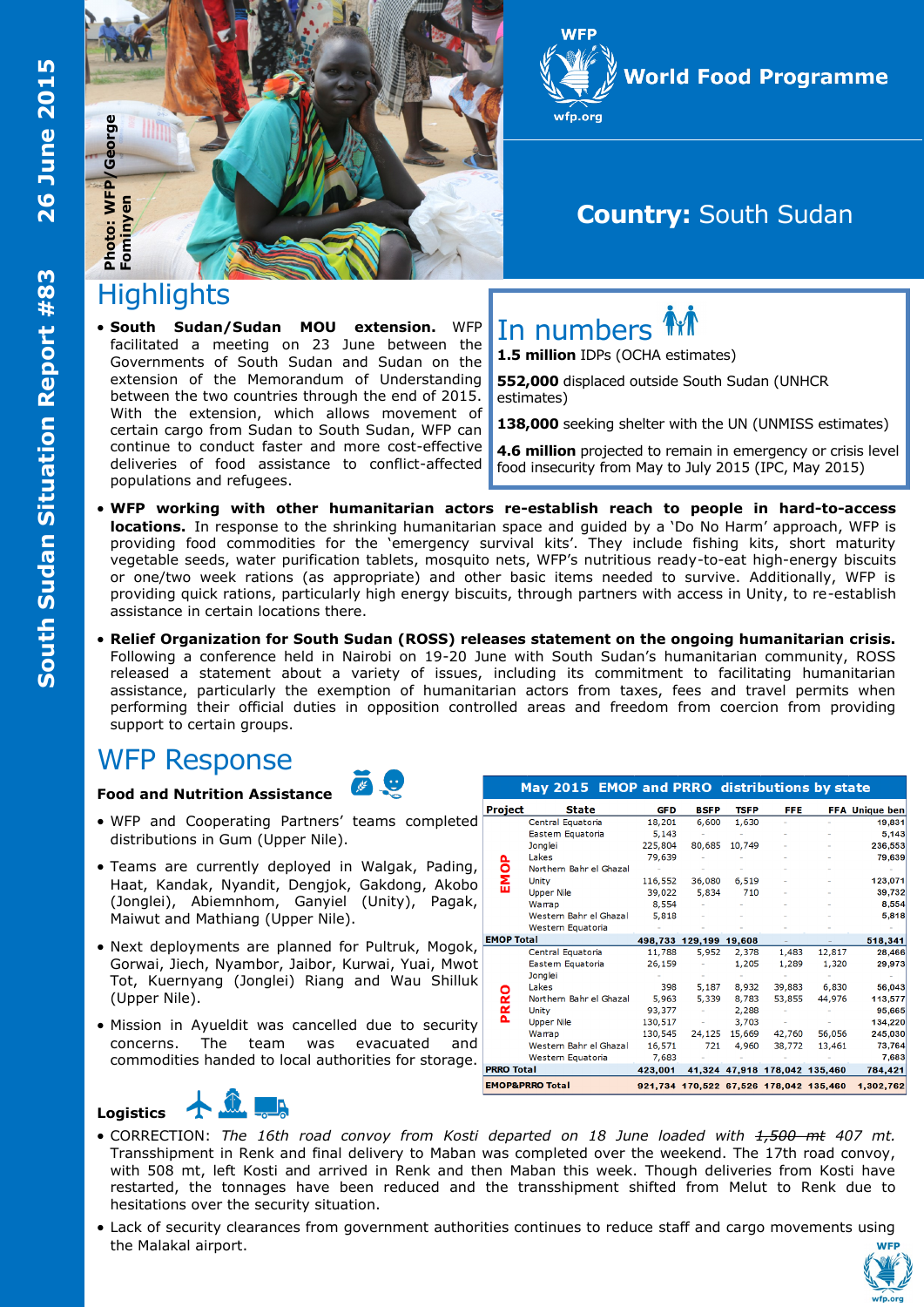





## **Country:** South Sudan

# **Highlights**

 **South Sudan/Sudan MOU extension.** WFP facilitated a meeting on 23 June between the Governments of South Sudan and Sudan on the extension of the Memorandum of Understanding between the two countries through the end of 2015. With the extension, which allows movement of certain cargo from Sudan to South Sudan, WFP can continue to conduct faster and more cost-effective deliveries of food assistance to conflict-affected populations and refugees.



**1.5 million** IDPs (OCHA estimates)

**552,000** displaced outside South Sudan (UNHCR estimates)

**138,000** seeking shelter with the UN (UNMISS estimates)

**4.6 million** projected to remain in emergency or crisis level food insecurity from May to July 2015 (IPC, May 2015)

- **WFP working with other humanitarian actors re-establish reach to people in hard-to-access locations.** In response to the shrinking humanitarian space and guided by a 'Do No Harm' approach, WFP is providing food commodities for the 'emergency survival kits'. They include fishing kits, short maturity vegetable seeds, water purification tablets, mosquito nets, WFP's nutritious ready-to-eat high-energy biscuits or one/two week rations (as appropriate) and other basic items needed to survive. Additionally, WFP is providing quick rations, particularly high energy biscuits, through partners with access in Unity, to re-establish assistance in certain locations there.
- **Relief Organization for South Sudan (ROSS) releases statement on the ongoing humanitarian crisis.**  Following a conference held in Nairobi on 19-20 June with South Sudan's humanitarian community, ROSS released a statement about a variety of issues, including its commitment to facilitating humanitarian assistance, particularly the exemption of humanitarian actors from taxes, fees and travel permits when performing their official duties in opposition controlled areas and freedom from coercion from providing support to certain groups.

## WFP Response

#### **Food and Nutrition Assistance**

- WFP and Cooperating Partners' teams completed distributions in Gum (Upper Nile).
- Teams are currently deployed in Walgak, Pading, Haat, Kandak, Nyandit, Dengjok, Gakdong, Akobo (Jonglei), Abiemnhom, Ganyiel (Unity), Pagak, Maiwut and Mathiang (Upper Nile).
- Next deployments are planned for Pultruk, Mogok, Gorwai, Jiech, Nyambor, Jaibor, Kurwai, Yuai, Mwot Tot, Kuernyang (Jonglei) Riang and Wau Shilluk (Upper Nile).
- Mission in Ayueldit was cancelled due to security concerns. The team was evacuated and commodities handed to local authorities for storage.

|                            | May 2015 EMOP and PRRO distributions by state |            |                        |             |                               |        |                                                  |
|----------------------------|-----------------------------------------------|------------|------------------------|-------------|-------------------------------|--------|--------------------------------------------------|
| Project                    | <b>State</b>                                  | <b>GFD</b> | <b>BSFP</b>            | <b>TSFP</b> | FFE.                          |        | <b>FFA Unique ben</b>                            |
| ဝိ<br>٤                    | Central Equatoria                             | 18,201     | 6,600                  | 1,630       |                               |        | 19,831                                           |
|                            | Eastem Equatoria                              | 5.143      |                        |             |                               |        | 5.143                                            |
|                            | Jonglei                                       | 225,804    | 80,685                 | 10,749      |                               |        | 236,553                                          |
|                            | Lakes                                         | 79,639     |                        |             |                               |        | 79,639                                           |
|                            | Northern Bahr el Ghazal                       |            |                        |             |                               |        |                                                  |
|                            | <b>Unity</b>                                  | 116,552    | 36,080                 | 6,519       |                               |        | 123,071                                          |
|                            | <b>Upper Nile</b>                             | 39,022     | 5,834                  | 710         |                               |        | 39,732                                           |
|                            | Warrap                                        | 8,554      |                        |             |                               |        | 8,554                                            |
|                            | Western Bahr el Ghazal                        | 5,818      |                        |             |                               |        | 5,818                                            |
|                            | Western Equatoria                             |            |                        |             |                               |        |                                                  |
| <b>EMOP Total</b>          |                                               |            | 498,733 129,199 19,608 |             |                               |        | 518,341                                          |
| PRRO                       | Central Equatoria                             | 11,788     | 5,952                  | 2,378       | 1,483                         | 12,817 | 28,466                                           |
|                            | Eastem Equatoria                              | 26,159     |                        | 1,205       | 1,289                         | 1,320  | 29,973                                           |
|                            | Jonglei                                       |            |                        |             |                               |        |                                                  |
|                            | Lakes                                         | 398        | 5,187                  | 8,932       | 39,883                        | 6,830  | 56,043                                           |
|                            | Northern Bahr el Ghazal                       | 5,963      | 5,339                  | 8,783       | 53,855                        | 44,976 | 113,577                                          |
|                            | Unity                                         | 93,377     |                        | 2,288       |                               |        | 95,665                                           |
|                            | <b>Upper Nile</b>                             | 130,517    |                        | 3,703       |                               |        | 134,220                                          |
|                            | Warrap                                        | 130,545    | 24,125                 | 15,669      | 42,760                        | 56,056 | 245,030                                          |
|                            | Western Bahr el Ghazal                        | 16,571     | 721                    | 4,960       | 38,772                        | 13,461 | 73,764                                           |
|                            | Western Equatoria                             | 7,683      |                        |             |                               |        | 7,683                                            |
| <b>PRRO Total</b>          |                                               | 423,001    |                        |             | 41,324 47,918 178,042 135,460 |        | 784,421                                          |
| <b>EMOP&amp;PRRO Total</b> |                                               |            |                        |             |                               |        | 921,734 170,522 67,526 178,042 135,460 1,302,762 |

#### **Logistics**



- CORRECTION: *The 16th road convoy from Kosti departed on 18 June loaded with 1,500 mt 407 mt.*  Transshipment in Renk and final delivery to Maban was completed over the weekend. The 17th road convoy, with 508 mt, left Kosti and arrived in Renk and then Maban this week. Though deliveries from Kosti have restarted, the tonnages have been reduced and the transshipment shifted from Melut to Renk due to hesitations over the security situation.
- Lack of security clearances from government authorities continues to reduce staff and cargo movements using the Malakal airport.

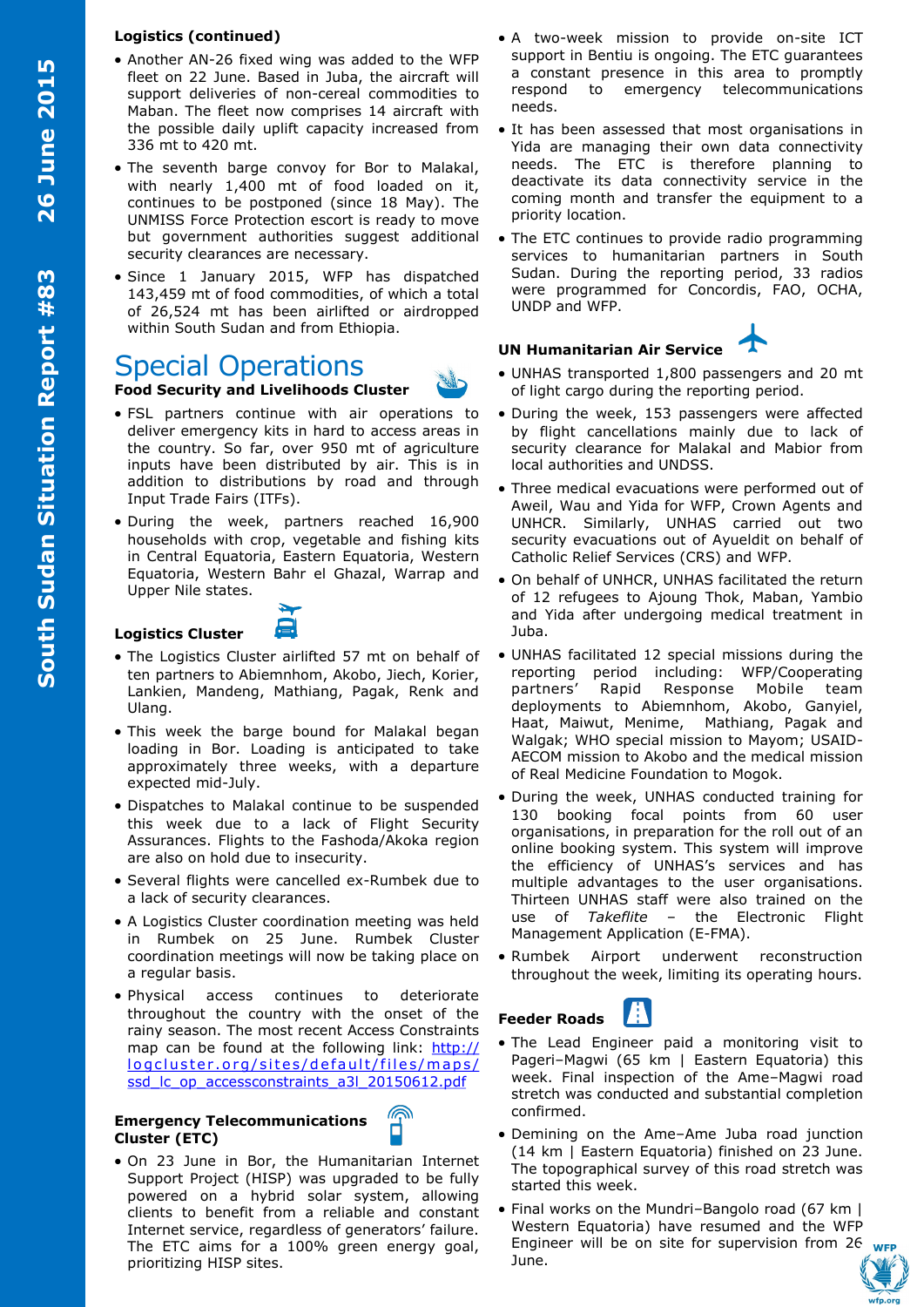#### **Logistics (continued)**

- Another AN-26 fixed wing was added to the WFP fleet on 22 June. Based in Juba, the aircraft will support deliveries of non-cereal commodities to Maban. The fleet now comprises 14 aircraft with the possible daily uplift capacity increased from 336 mt to 420 mt.
- The seventh barge convoy for Bor to Malakal, with nearly 1,400 mt of food loaded on it, continues to be postponed (since 18 May). The UNMISS Force Protection escort is ready to move but government authorities suggest additional security clearances are necessary.
- Since 1 January 2015, WFP has dispatched 143,459 mt of food commodities, of which a total of 26,524 mt has been airlifted or airdropped within South Sudan and from Ethiopia.

# Special Operations

### **Food Security and Livelihoods Cluster**

- FSL partners continue with air operations to deliver emergency kits in hard to access areas in the country. So far, over 950 mt of agriculture inputs have been distributed by air. This is in addition to distributions by road and through Input Trade Fairs (ITFs).
- During the week, partners reached 16,900 households with crop, vegetable and fishing kits in Central Equatoria, Eastern Equatoria, Western Equatoria, Western Bahr el Ghazal, Warrap and Upper Nile states.

## **Logistics Cluster**

- The Logistics Cluster airlifted 57 mt on behalf of ten partners to Abiemnhom, Akobo, Jiech, Korier, Lankien, Mandeng, Mathiang, Pagak, Renk and Ulang.
- This week the barge bound for Malakal began loading in Bor. Loading is anticipated to take approximately three weeks, with a departure expected mid-July.
- Dispatches to Malakal continue to be suspended this week due to a lack of Flight Security Assurances. Flights to the Fashoda/Akoka region are also on hold due to insecurity.
- Several flights were cancelled ex-Rumbek due to a lack of security clearances.
- A Logistics Cluster coordination meeting was held in Rumbek on 25 June. Rumbek Cluster coordination meetings will now be taking place on a regular basis.
- Physical access continues to deteriorate throughout the country with the onset of the rainy season. The most recent Access Constraints map can be found at the following link: [http://](http://logcluster.org/sites/default/files/maps/ssd_lc_op_accessconstraints_a3l_20150612.pdf) logcluster.org/sites/default/files/maps/ [ssd\\_lc\\_op\\_accessconstraints\\_a3l\\_20150612.pdf](http://logcluster.org/sites/default/files/maps/ssd_lc_op_accessconstraints_a3l_20150612.pdf)

#### **Emergency Telecommunications Cluster (ETC)**



 On 23 June in Bor, the Humanitarian Internet Support Project (HISP) was upgraded to be fully powered on a hybrid solar system, allowing clients to benefit from a reliable and constant Internet service, regardless of generators' failure. The ETC aims for a 100% green energy goal, prioritizing HISP sites.

- A two-week mission to provide on-site ICT support in Bentiu is ongoing. The ETC guarantees a constant presence in this area to promptly respond to emergency telecommunications needs.
- It has been assessed that most organisations in Yida are managing their own data connectivity needs. The ETC is therefore planning to deactivate its data connectivity service in the coming month and transfer the equipment to a priority location.
- The ETC continues to provide radio programming services to humanitarian partners in South Sudan. During the reporting period, 33 radios were programmed for Concordis, FAO, OCHA, UNDP and WFP.

## **UN Humanitarian Air Service**

- UNHAS transported 1,800 passengers and 20 mt of light cargo during the reporting period.
- During the week, 153 passengers were affected by flight cancellations mainly due to lack of security clearance for Malakal and Mabior from local authorities and UNDSS.
- Three medical evacuations were performed out of Aweil, Wau and Yida for WFP, Crown Agents and UNHCR. Similarly, UNHAS carried out two security evacuations out of Ayueldit on behalf of Catholic Relief Services (CRS) and WFP.
- On behalf of UNHCR, UNHAS facilitated the return of 12 refugees to Ajoung Thok, Maban, Yambio and Yida after undergoing medical treatment in Juba.
- UNHAS facilitated 12 special missions during the reporting period including: WFP/Cooperating partners' Rapid Response Mobile team deployments to Abiemnhom, Akobo, Ganyiel, Haat, Maiwut, Menime, Mathiang, Pagak and Walgak; WHO special mission to Mayom; USAID-AECOM mission to Akobo and the medical mission of Real Medicine Foundation to Mogok.
- During the week, UNHAS conducted training for 130 booking focal points from 60 user organisations, in preparation for the roll out of an online booking system. This system will improve the efficiency of UNHAS's services and has multiple advantages to the user organisations. Thirteen UNHAS staff were also trained on the use of *Takeflite* – the Electronic Flight Management Application (E-FMA).
- Rumbek Airport underwent reconstruction throughout the week, limiting its operating hours.

## **Feeder Roads**

- The Lead Engineer paid a monitoring visit to Pageri-Magwi (65 km | Eastern Equatoria) this week. Final inspection of the Ame–Magwi road stretch was conducted and substantial completion confirmed.
- Demining on the Ame–Ame Juba road junction (14 km | Eastern Equatoria) finished on 23 June. The topographical survey of this road stretch was started this week.
- Final works on the Mundri–Bangolo road (67 km | Western Equatoria) have resumed and the WFP Engineer will be on site for supervision from 26 June.